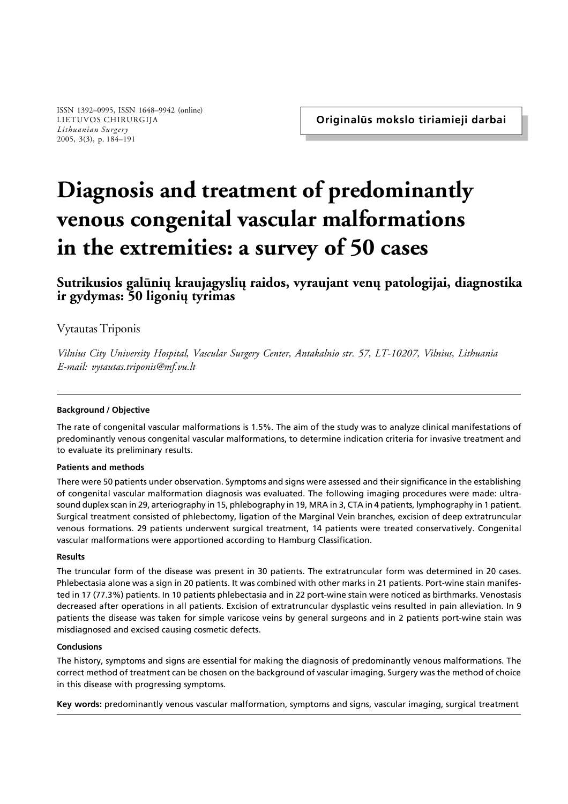# **Diagnosis and treatment of predominantly venous congenital vascular malformations in the extremities: a survey of 50 cases**

**Sutrikusios galûniø kraujagysliø raidos, vyraujant venø patologijai, diagnostika ir gydymas: 50 ligoniø tyrimas**

Vytautas Triponis

*Vilnius City University Hospital, Vascular Surgery Center, Antakalnio str. 57, LT-10207, Vilnius, Lithuania E-mail: vytautas.triponis@mf.vu.lt*

## **Background / Objective**

The rate of congenital vascular malformations is 1.5%. The aim of the study was to analyze clinical manifestations of predominantly venous congenital vascular malformations, to determine indication criteria for invasive treatment and to evaluate its preliminary results.

## **Patients and methods**

There were 50 patients under observation. Symptoms and signs were assessed and their significance in the establishing of congenital vascular malformation diagnosis was evaluated. The following imaging procedures were made: ultrasound duplex scan in 29, arteriography in 15, phlebography in 19, MRA in 3, CTA in 4 patients, lymphography in 1 patient. Surgical treatment consisted of phlebectomy, ligation of the Marginal Vein branches, excision of deep extratruncular venous formations. 29 patients underwent surgical treatment, 14 patients were treated conservatively. Congenital vascular malformations were apportioned according to Hamburg Classification.

## **Results**

The truncular form of the disease was present in 30 patients. The extratruncular form was determined in 20 cases. Phlebectasia alone was a sign in 20 patients. It was combined with other marks in 21 patients. Port-wine stain manifested in 17 (77.3%) patients. In 10 patients phlebectasia and in 22 port-wine stain were noticed as birthmarks. Venostasis decreased after operations in all patients. Excision of extratruncular dysplastic veins resulted in pain alleviation. In 9 patients the disease was taken for simple varicose veins by general surgeons and in 2 patients port-wine stain was misdiagnosed and excised causing cosmetic defects.

## **Conclusions**

The history, symptoms and signs are essential for making the diagnosis of predominantly venous malformations. The correct method of treatment can be chosen on the background of vascular imaging. Surgery was the method of choice in this disease with progressing symptoms.

**Key words:** predominantly venous vascular malformation, symptoms and signs, vascular imaging, surgical treatment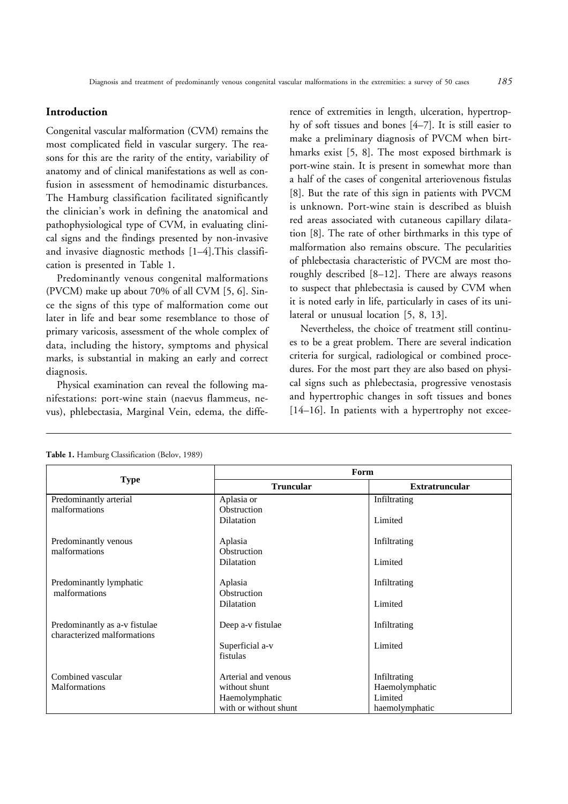## **Introduction**

Congenital vascular malformation (CVM) remains the most complicated field in vascular surgery. The reasons for this are the rarity of the entity, variability of anatomy and of clinical manifestations as well as confusion in assessment of hemodinamic disturbances. The Hamburg classification facilitated significantly the clinician's work in defining the anatomical and pathophysiological type of CVM, in evaluating clinical signs and the findings presented by non-invasive and invasive diagnostic methods [1–4].This classification is presented in Table 1.

Predominantly venous congenital malformations (PVCM) make up about 70% of all CVM [5, 6]. Since the signs of this type of malformation come out later in life and bear some resemblance to those of primary varicosis, assessment of the whole complex of data, including the history, symptoms and physical marks, is substantial in making an early and correct diagnosis.

Physical examination can reveal the following manifestations: port-wine stain (naevus flammeus, nevus), phlebectasia, Marginal Vein, edema, the difference of extremities in length, ulceration, hypertrophy of soft tissues and bones [4–7]. It is still easier to make a preliminary diagnosis of PVCM when birthmarks exist [5, 8]. The most exposed birthmark is port-wine stain. It is present in somewhat more than a half of the cases of congenital arteriovenous fistulas [8]. But the rate of this sign in patients with PVCM is unknown. Port-wine stain is described as bluish red areas associated with cutaneous capillary dilatation [8]. The rate of other birthmarks in this type of malformation also remains obscure. The pecularities of phlebectasia characteristic of PVCM are most thoroughly described [8–12]. There are always reasons to suspect that phlebectasia is caused by CVM when it is noted early in life, particularly in cases of its unilateral or unusual location [5, 8, 13].

Nevertheless, the choice of treatment still continues to be a great problem. There are several indication criteria for surgical, radiological or combined procedures. For the most part they are also based on physical signs such as phlebectasia, progressive venostasis and hypertrophic changes in soft tissues and bones [14–16]. In patients with a hypertrophy not excee-

|                                                              | Form                                    |                                |  |
|--------------------------------------------------------------|-----------------------------------------|--------------------------------|--|
| <b>Type</b>                                                  | <b>Truncular</b>                        | <b>Extratruncular</b>          |  |
| Predominantly arterial<br>malformations                      | Aplasia or<br>Obstruction               | Infiltrating                   |  |
|                                                              | Dilatation                              | Limited                        |  |
| Predominantly venous<br>malformations                        | Aplasia<br>Obstruction                  | Infiltrating                   |  |
|                                                              | Dilatation                              | Limited                        |  |
| Predominantly lymphatic<br>malformations                     | Aplasia<br>Obstruction                  | Infiltrating                   |  |
|                                                              | Dilatation                              | Limited                        |  |
| Predominantly as a-v fistulae<br>characterized malformations | Deep a-v fistulae                       | Infiltrating                   |  |
|                                                              | Superficial a-v<br>fistulas             | Limited                        |  |
| Combined vascular<br><b>Malformations</b>                    | Arterial and venous<br>without shunt    | Infiltrating<br>Haemolymphatic |  |
|                                                              | Haemolymphatic<br>with or without shunt | Limited<br>haemolymphatic      |  |

**Table 1.** Hamburg Classification (Belov, 1989)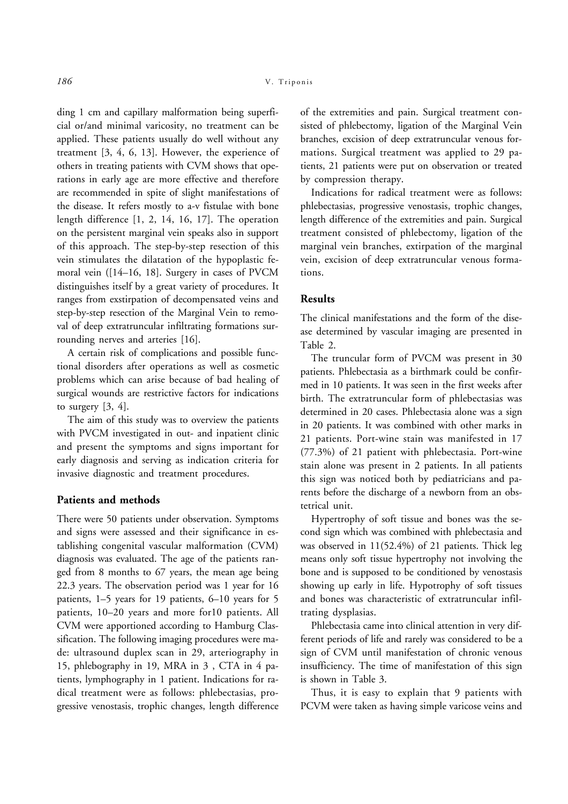ding 1 cm and capillary malformation being superficial or/and minimal varicosity, no treatment can be applied. These patients usually do well without any treatment [3, 4, 6, 13]. However, the experience of others in treating patients with CVM shows that operations in early age are more effective and therefore are recommended in spite of slight manifestations of the disease. It refers mostly to a-v fistulae with bone length difference [1, 2, 14, 16, 17]. The operation on the persistent marginal vein speaks also in support of this approach. The step-by-step resection of this vein stimulates the dilatation of the hypoplastic femoral vein ([14–16, 18]. Surgery in cases of PVCM distinguishes itself by a great variety of procedures. It ranges from exstirpation of decompensated veins and step-by-step resection of the Marginal Vein to removal of deep extratruncular infiltrating formations surrounding nerves and arteries [16].

A certain risk of complications and possible functional disorders after operations as well as cosmetic problems which can arise because of bad healing of surgical wounds are restrictive factors for indications to surgery  $[3, 4]$ .

The aim of this study was to overview the patients with PVCM investigated in out- and inpatient clinic and present the symptoms and signs important for early diagnosis and serving as indication criteria for invasive diagnostic and treatment procedures.

# **Patients and methods**

There were 50 patients under observation. Symptoms and signs were assessed and their significance in establishing congenital vascular malformation (CVM) diagnosis was evaluated. The age of the patients ranged from 8 months to 67 years, the mean age being 22.3 years. The observation period was 1 year for 16 patients, 1–5 years for 19 patients, 6–10 years for 5 patients, 10–20 years and more for10 patients. All CVM were apportioned according to Hamburg Classification. The following imaging procedures were made: ultrasound duplex scan in 29, arteriography in 15, phlebography in 19, MRA in 3 , CTA in 4 patients, lymphography in 1 patient. Indications for radical treatment were as follows: phlebectasias, progressive venostasis, trophic changes, length difference of the extremities and pain. Surgical treatment consisted of phlebectomy, ligation of the Marginal Vein branches, excision of deep extratruncular venous formations. Surgical treatment was applied to 29 patients, 21 patients were put on observation or treated by compression therapy.

Indications for radical treatment were as follows: phlebectasias, progressive venostasis, trophic changes, length difference of the extremities and pain. Surgical treatment consisted of phlebectomy, ligation of the marginal vein branches, extirpation of the marginal vein, excision of deep extratruncular venous formations.

### **Results**

The clinical manifestations and the form of the disease determined by vascular imaging are presented in Table 2.

The truncular form of PVCM was present in 30 patients. Phlebectasia as a birthmark could be confirmed in 10 patients. It was seen in the first weeks after birth. The extratruncular form of phlebectasias was determined in 20 cases. Phlebectasia alone was a sign in 20 patients. It was combined with other marks in 21 patients. Port-wine stain was manifested in 17 (77.3%) of 21 patient with phlebectasia. Port-wine stain alone was present in 2 patients. In all patients this sign was noticed both by pediatricians and parents before the discharge of a newborn from an obstetrical unit.

Hypertrophy of soft tissue and bones was the second sign which was combined with phlebectasia and was observed in 11(52.4%) of 21 patients. Thick leg means only soft tissue hypertrophy not involving the bone and is supposed to be conditioned by venostasis showing up early in life. Hypotrophy of soft tissues and bones was characteristic of extratruncular infiltrating dysplasias.

Phlebectasia came into clinical attention in very different periods of life and rarely was considered to be a sign of CVM until manifestation of chronic venous insufficiency. The time of manifestation of this sign is shown in Table 3.

Thus, it is easy to explain that 9 patients with PCVM were taken as having simple varicose veins and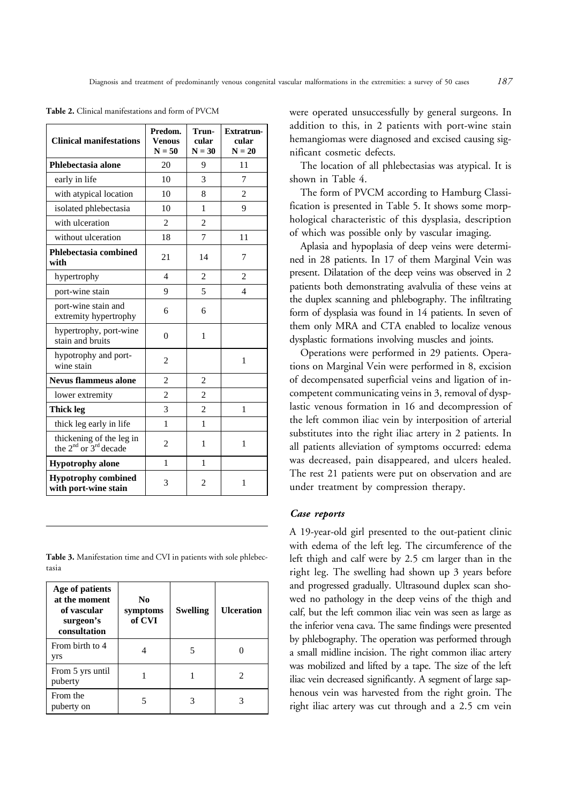| <b>Clinical manifestations</b>                        | Predom.<br><b>Venous</b><br>$N = 50$ | Trun-<br>cular<br>$N = 30$ | <b>Extratrun-</b><br>cular<br>$N = 20$ |
|-------------------------------------------------------|--------------------------------------|----------------------------|----------------------------------------|
| Phlebectasia alone                                    | 20                                   | 9                          | 11                                     |
| early in life                                         | 10                                   | 3                          | 7                                      |
| with atypical location                                | 10                                   | 8                          | 2                                      |
| isolated phlebectasia                                 | 10                                   | 1                          | 9                                      |
| with ulceration                                       | 2                                    | 2                          |                                        |
| without ulceration                                    | 18                                   | 7                          | 11                                     |
| Phlebectasia combined<br>with                         | 21                                   | 14                         | 7                                      |
| hypertrophy                                           | 4                                    | $\overline{2}$             | $\overline{c}$                         |
| port-wine stain                                       | 9                                    | 5                          | $\overline{4}$                         |
| port-wine stain and<br>extremity hypertrophy          | 6                                    | 6                          |                                        |
| hypertrophy, port-wine<br>stain and bruits            | $\theta$                             | 1                          |                                        |
| hypotrophy and port-<br>wine stain                    | $\overline{2}$                       |                            | 1                                      |
| <b>Nevus flammeus alone</b>                           | $\overline{2}$                       | $\overline{2}$             |                                        |
| lower extremity                                       | $\overline{c}$                       | $\overline{2}$             |                                        |
| Thick leg                                             | 3                                    | $\overline{2}$             | 1                                      |
| thick leg early in life                               | 1                                    | 1                          |                                        |
| thickening of the leg in<br>the $2nd$ or $3rd$ decade | $\overline{c}$                       | 1                          | 1                                      |
| <b>Hypotrophy</b> alone                               | 1                                    | 1                          |                                        |
| <b>Hypotrophy combined</b><br>with port-wine stain    | 3                                    | 2                          | 1                                      |

**Table 2.** Clinical manifestations and form of PVCM

**Table 3.** Manifestation time and CVI in patients with sole phlebectasia

| Age of patients<br>at the moment<br>of vascular<br>surgeon's<br>consultation | N <sub>0</sub><br>symptoms<br>of CVI | <b>Swelling</b> | <b>Ulceration</b> |
|------------------------------------------------------------------------------|--------------------------------------|-----------------|-------------------|
| From birth to 4<br>vrs                                                       |                                      |                 |                   |
| From 5 yrs until<br>puberty                                                  |                                      |                 |                   |
| From the<br>puberty on                                                       |                                      |                 |                   |

were operated unsuccessfully by general surgeons. In addition to this, in 2 patients with port-wine stain hemangiomas were diagnosed and excised causing significant cosmetic defects.

The location of all phlebectasias was atypical. It is shown in Table 4.

The form of PVCM according to Hamburg Classification is presented in Table 5. It shows some morphological characteristic of this dysplasia, description of which was possible only by vascular imaging.

Aplasia and hypoplasia of deep veins were determined in 28 patients. In 17 of them Marginal Vein was present. Dilatation of the deep veins was observed in 2 patients both demonstrating avalvulia of these veins at the duplex scanning and phlebography. The infiltrating form of dysplasia was found in 14 patients. In seven of them only MRA and CTA enabled to localize venous dysplastic formations involving muscles and joints.

Operations were performed in 29 patients. Operations on Marginal Vein were performed in 8, excision of decompensated superficial veins and ligation of incompetent communicating veins in 3, removal of dysplastic venous formation in 16 and decompression of the left common iliac vein by interposition of arterial substitutes into the right iliac artery in 2 patients. In all patients alleviation of symptoms occurred: edema was decreased, pain disappeared, and ulcers healed. The rest 21 patients were put on observation and are under treatment by compression therapy.

#### *Case reports*

A 19-year-old girl presented to the out-patient clinic with edema of the left leg. The circumference of the left thigh and calf were by 2.5 cm larger than in the right leg. The swelling had shown up 3 years before and progressed gradually. Ultrasound duplex scan showed no pathology in the deep veins of the thigh and calf, but the left common iliac vein was seen as large as the inferior vena cava. The same findings were presented by phlebography. The operation was performed through a small midline incision. The right common iliac artery was mobilized and lifted by a tape. The size of the left iliac vein decreased significantly. A segment of large saphenous vein was harvested from the right groin. The right iliac artery was cut through and a 2.5 cm vein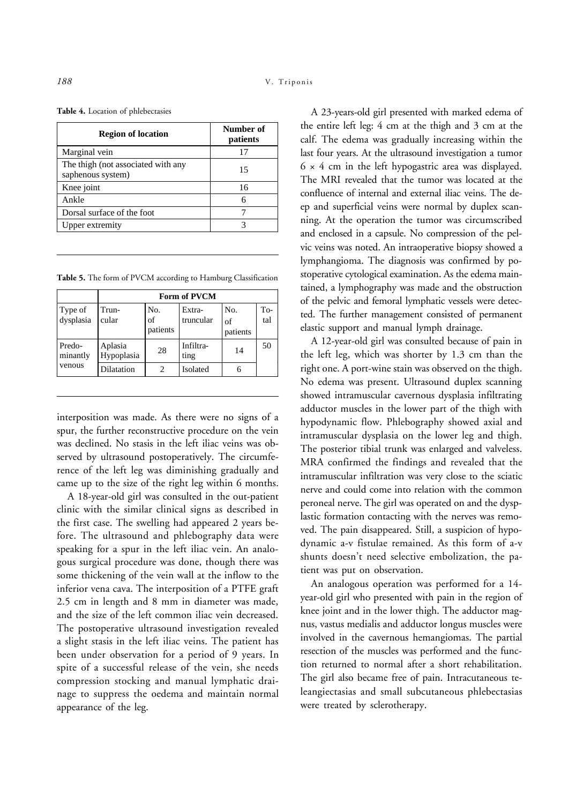| <b>Region of location</b>                               | Number of<br>patients |
|---------------------------------------------------------|-----------------------|
| Marginal vein                                           | 17                    |
| The thigh (not associated with any<br>saphenous system) | 15                    |
| Knee joint                                              | 16                    |
| Ankle                                                   | 6                     |
| Dorsal surface of the foot                              |                       |
| Upper extremity                                         |                       |

**Table 4.** Location of phlebectasies

**Table 5.** The form of PVCM according to Hamburg Classification

|                      | <b>Form of PVCM</b>   |                       |                     |                               |            |
|----------------------|-----------------------|-----------------------|---------------------|-------------------------------|------------|
| Type of<br>dysplasia | Trun-<br>cular        | No.<br>of<br>patients | Extra-<br>truncular | No.<br>$\sigma$ f<br>patients | To-<br>tal |
| Predo-<br>minantly   | Aplasia<br>Hypoplasia | 28                    | Infiltra-<br>ting   | 14                            | 50         |
| venous               | Dilatation            | 2                     | Isolated            | 6                             |            |

interposition was made. As there were no signs of a spur, the further reconstructive procedure on the vein was declined. No stasis in the left iliac veins was observed by ultrasound postoperatively. The circumference of the left leg was diminishing gradually and came up to the size of the right leg within 6 months.

A 18-year-old girl was consulted in the out-patient clinic with the similar clinical signs as described in the first case. The swelling had appeared 2 years before. The ultrasound and phlebography data were speaking for a spur in the left iliac vein. An analogous surgical procedure was done, though there was some thickening of the vein wall at the inflow to the inferior vena cava. The interposition of a PTFE graft 2.5 cm in length and 8 mm in diameter was made, and the size of the left common iliac vein decreased. The postoperative ultrasound investigation revealed a slight stasis in the left iliac veins. The patient has been under observation for a period of 9 years. In spite of a successful release of the vein, she needs compression stocking and manual lymphatic drainage to suppress the oedema and maintain normal appearance of the leg.

A 23-years-old girl presented with marked edema of the entire left leg: 4 cm at the thigh and 3 cm at the calf. The edema was gradually increasing within the last four years. At the ultrasound investigation a tumor  $6 \times 4$  cm in the left hypogastric area was displayed. The MRI revealed that the tumor was located at the confluence of internal and external iliac veins. The deep and superficial veins were normal by duplex scanning. At the operation the tumor was circumscribed and enclosed in a capsule. No compression of the pelvic veins was noted. An intraoperative biopsy showed a lymphangioma. The diagnosis was confirmed by postoperative cytological examination. As the edema maintained, a lymphography was made and the obstruction of the pelvic and femoral lymphatic vessels were detected. The further management consisted of permanent elastic support and manual lymph drainage.

A 12-year-old girl was consulted because of pain in the left leg, which was shorter by 1.3 cm than the right one. A port-wine stain was observed on the thigh. No edema was present. Ultrasound duplex scanning showed intramuscular cavernous dysplasia infiltrating adductor muscles in the lower part of the thigh with hypodynamic flow. Phlebography showed axial and intramuscular dysplasia on the lower leg and thigh. The posterior tibial trunk was enlarged and valveless. MRA confirmed the findings and revealed that the intramuscular infiltration was very close to the sciatic nerve and could come into relation with the common peroneal nerve. The girl was operated on and the dysplastic formation contacting with the nerves was removed. The pain disappeared. Still, a suspicion of hypodynamic a-v fistulae remained. As this form of a-v shunts doesn't need selective embolization, the patient was put on observation.

An analogous operation was performed for a 14 year-old girl who presented with pain in the region of knee joint and in the lower thigh. The adductor magnus, vastus medialis and adductor longus muscles were involved in the cavernous hemangiomas. The partial resection of the muscles was performed and the function returned to normal after a short rehabilitation. The girl also became free of pain. Intracutaneous teleangiectasias and small subcutaneous phlebectasias were treated by sclerotherapy.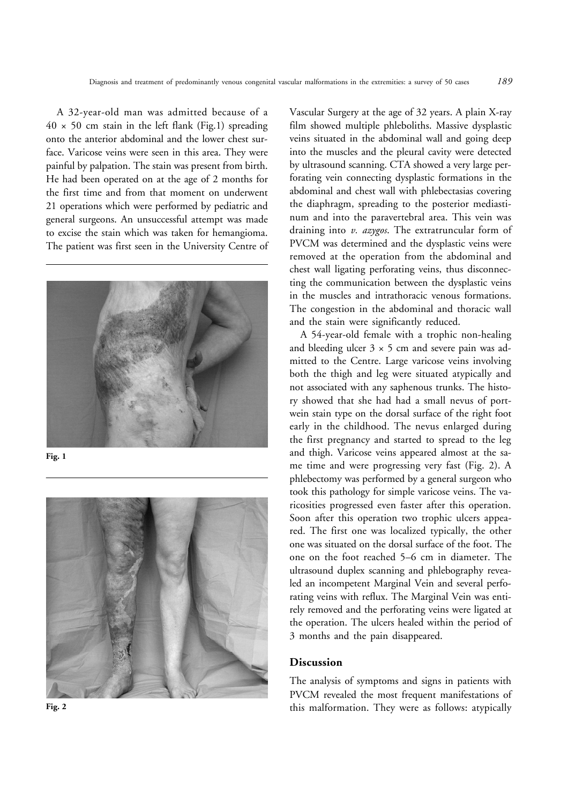A 32-year-old man was admitted because of a  $40 \times 50$  cm stain in the left flank (Fig.1) spreading onto the anterior abdominal and the lower chest surface. Varicose veins were seen in this area. They were painful by palpation. The stain was present from birth. He had been operated on at the age of 2 months for the first time and from that moment on underwent 21 operations which were performed by pediatric and general surgeons. An unsuccessful attempt was made to excise the stain which was taken for hemangioma. The patient was first seen in the University Centre of



**Fig. 1**



Vascular Surgery at the age of 32 years. A plain X-ray film showed multiple phleboliths. Massive dysplastic veins situated in the abdominal wall and going deep into the muscles and the pleural cavity were detected by ultrasound scanning. CTA showed a very large perforating vein connecting dysplastic formations in the abdominal and chest wall with phlebectasias covering the diaphragm, spreading to the posterior mediastinum and into the paravertebral area. This vein was draining into *v. azygos*. The extratruncular form of PVCM was determined and the dysplastic veins were removed at the operation from the abdominal and chest wall ligating perforating veins, thus disconnecting the communication between the dysplastic veins in the muscles and intrathoracic venous formations. The congestion in the abdominal and thoracic wall and the stain were significantly reduced.

A 54-year-old female with a trophic non-healing and bleeding ulcer  $3 \times 5$  cm and severe pain was admitted to the Centre. Large varicose veins involving both the thigh and leg were situated atypically and not associated with any saphenous trunks. The history showed that she had had a small nevus of portwein stain type on the dorsal surface of the right foot early in the childhood. The nevus enlarged during the first pregnancy and started to spread to the leg and thigh. Varicose veins appeared almost at the same time and were progressing very fast (Fig. 2). A phlebectomy was performed by a general surgeon who took this pathology for simple varicose veins. The varicosities progressed even faster after this operation. Soon after this operation two trophic ulcers appeared. The first one was localized typically, the other one was situated on the dorsal surface of the foot. The one on the foot reached 5–6 cm in diameter. The ultrasound duplex scanning and phlebography revealed an incompetent Marginal Vein and several perforating veins with reflux. The Marginal Vein was entirely removed and the perforating veins were ligated at the operation. The ulcers healed within the period of 3 months and the pain disappeared.

## **Discussion**

The analysis of symptoms and signs in patients with PVCM revealed the most frequent manifestations of this malformation. They were as follows: atypically

**Fig. 2**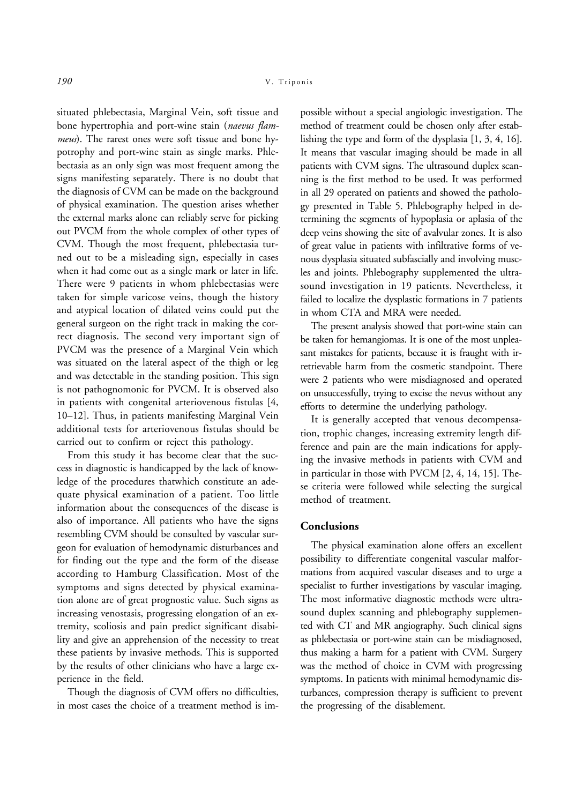situated phlebectasia, Marginal Vein, soft tissue and bone hypertrophia and port-wine stain (*naevus flammeus*). The rarest ones were soft tissue and bone hypotrophy and port-wine stain as single marks. Phlebectasia as an only sign was most frequent among the signs manifesting separately. There is no doubt that the diagnosis of CVM can be made on the background of physical examination. The question arises whether the external marks alone can reliably serve for picking out PVCM from the whole complex of other types of CVM. Though the most frequent, phlebectasia turned out to be a misleading sign, especially in cases when it had come out as a single mark or later in life. There were 9 patients in whom phlebectasias were taken for simple varicose veins, though the history and atypical location of dilated veins could put the general surgeon on the right track in making the correct diagnosis. The second very important sign of PVCM was the presence of a Marginal Vein which was situated on the lateral aspect of the thigh or leg and was detectable in the standing position. This sign is not pathognomonic for PVCM. It is observed also in patients with congenital arteriovenous fistulas [4, 10–12]. Thus, in patients manifesting Marginal Vein additional tests for arteriovenous fistulas should be carried out to confirm or reject this pathology.

From this study it has become clear that the success in diagnostic is handicapped by the lack of knowledge of the procedures thatwhich constitute an adequate physical examination of a patient. Too little information about the consequences of the disease is also of importance. All patients who have the signs resembling CVM should be consulted by vascular surgeon for evaluation of hemodynamic disturbances and for finding out the type and the form of the disease according to Hamburg Classification. Most of the symptoms and signs detected by physical examination alone are of great prognostic value. Such signs as increasing venostasis, progressing elongation of an extremity, scoliosis and pain predict significant disability and give an apprehension of the necessity to treat these patients by invasive methods. This is supported by the results of other clinicians who have a large experience in the field.

Though the diagnosis of CVM offers no difficulties, in most cases the choice of a treatment method is impossible without a special angiologic investigation. The method of treatment could be chosen only after establishing the type and form of the dysplasia [1, 3, 4, 16]. It means that vascular imaging should be made in all patients with CVM signs. The ultrasound duplex scanning is the first method to be used. It was performed in all 29 operated on patients and showed the pathology presented in Table 5. Phlebography helped in determining the segments of hypoplasia or aplasia of the deep veins showing the site of avalvular zones. It is also of great value in patients with infiltrative forms of venous dysplasia situated subfascially and involving muscles and joints. Phlebography supplemented the ultrasound investigation in 19 patients. Nevertheless, it failed to localize the dysplastic formations in 7 patients in whom CTA and MRA were needed.

The present analysis showed that port-wine stain can be taken for hemangiomas. It is one of the most unpleasant mistakes for patients, because it is fraught with irretrievable harm from the cosmetic standpoint. There were 2 patients who were misdiagnosed and operated on unsuccessfully, trying to excise the nevus without any efforts to determine the underlying pathology.

It is generally accepted that venous decompensation, trophic changes, increasing extremity length difference and pain are the main indications for applying the invasive methods in patients with CVM and in particular in those with PVCM [2, 4, 14, 15]. These criteria were followed while selecting the surgical method of treatment.

### **Conclusions**

The physical examination alone offers an excellent possibility to differentiate congenital vascular malformations from acquired vascular diseases and to urge a specialist to further investigations by vascular imaging. The most informative diagnostic methods were ultrasound duplex scanning and phlebography supplemented with CT and MR angiography. Such clinical signs as phlebectasia or port-wine stain can be misdiagnosed, thus making a harm for a patient with CVM. Surgery was the method of choice in CVM with progressing symptoms. In patients with minimal hemodynamic disturbances, compression therapy is sufficient to prevent the progressing of the disablement.